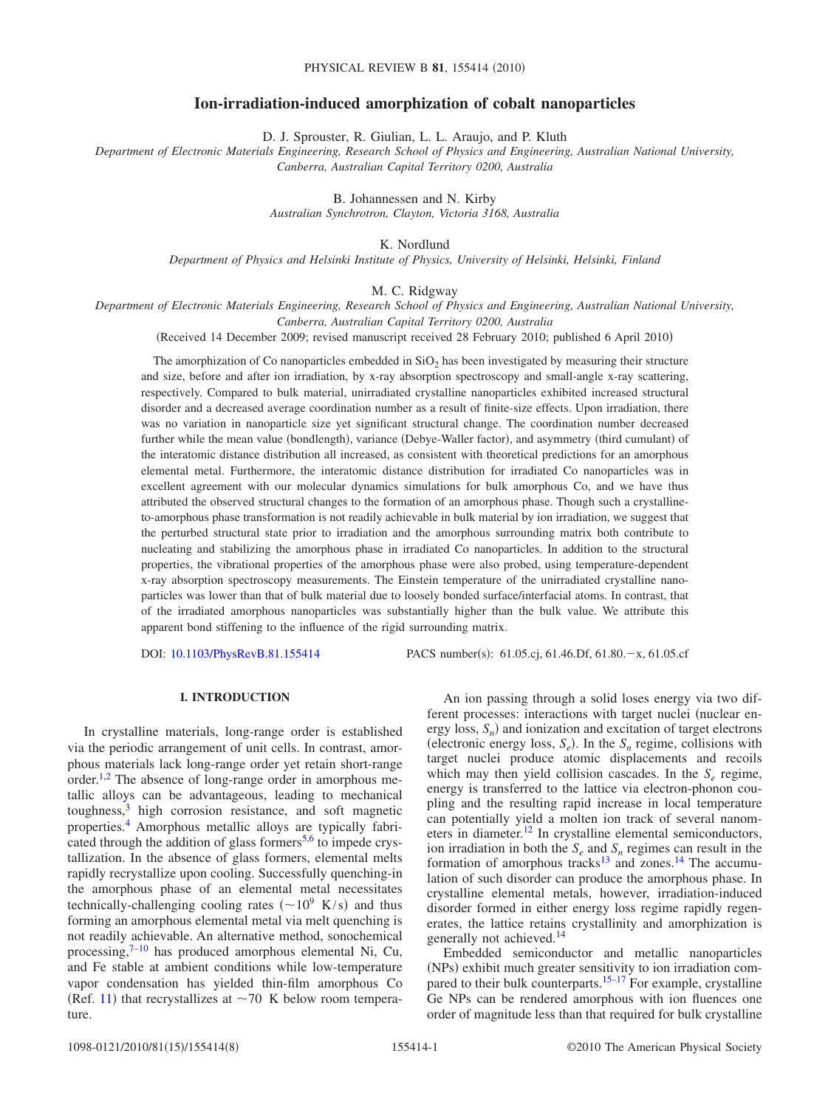# **Ion-irradiation-induced amorphization of cobalt nanoparticles**

D. J. Sprouster, R. Giulian, L. L. Araujo, and P. Kluth

*Department of Electronic Materials Engineering, Research School of Physics and Engineering, Australian National University, Canberra, Australian Capital Territory 0200, Australia*

> B. Johannessen and N. Kirby *Australian Synchrotron, Clayton, Victoria 3168, Australia*

> > K. Nordlund

*Department of Physics and Helsinki Institute of Physics, University of Helsinki, Helsinki, Finland*

M. C. Ridgway

*Department of Electronic Materials Engineering, Research School of Physics and Engineering, Australian National University, Canberra, Australian Capital Territory 0200, Australia*

Received 14 December 2009; revised manuscript received 28 February 2010; published 6 April 2010-

The amorphization of Co nanoparticles embedded in  $SiO<sub>2</sub>$  has been investigated by measuring their structure and size, before and after ion irradiation, by x-ray absorption spectroscopy and small-angle x-ray scattering, respectively. Compared to bulk material, unirradiated crystalline nanoparticles exhibited increased structural disorder and a decreased average coordination number as a result of finite-size effects. Upon irradiation, there was no variation in nanoparticle size yet significant structural change. The coordination number decreased further while the mean value (bondlength), variance (Debye-Waller factor), and asymmetry (third cumulant) of the interatomic distance distribution all increased, as consistent with theoretical predictions for an amorphous elemental metal. Furthermore, the interatomic distance distribution for irradiated Co nanoparticles was in excellent agreement with our molecular dynamics simulations for bulk amorphous Co, and we have thus attributed the observed structural changes to the formation of an amorphous phase. Though such a crystallineto-amorphous phase transformation is not readily achievable in bulk material by ion irradiation, we suggest that the perturbed structural state prior to irradiation and the amorphous surrounding matrix both contribute to nucleating and stabilizing the amorphous phase in irradiated Co nanoparticles. In addition to the structural properties, the vibrational properties of the amorphous phase were also probed, using temperature-dependent x-ray absorption spectroscopy measurements. The Einstein temperature of the unirradiated crystalline nanoparticles was lower than that of bulk material due to loosely bonded surface/interfacial atoms. In contrast, that of the irradiated amorphous nanoparticles was substantially higher than the bulk value. We attribute this apparent bond stiffening to the influence of the rigid surrounding matrix.

DOI: [10.1103/PhysRevB.81.155414](http://dx.doi.org/10.1103/PhysRevB.81.155414)

PACS number(s):  $61.05.c$ ;  $61.46.D$ f,  $61.80.-x$ ,  $61.05.c$ f

## **I. INTRODUCTION**

In crystalline materials, long-range order is established via the periodic arrangement of unit cells. In contrast, amorphous materials lack long-range order yet retain short-range order.<sup>1,[2](#page-7-1)</sup> The absence of long-range order in amorphous metallic alloys can be advantageous, leading to mechanical toughness,<sup>3</sup> high corrosion resistance, and soft magnetic properties[.4](#page-7-3) Amorphous metallic alloys are typically fabri-cated through the addition of glass formers<sup>5,[6](#page-7-5)</sup> to impede crystallization. In the absence of glass formers, elemental melts rapidly recrystallize upon cooling. Successfully quenching-in the amorphous phase of an elemental metal necessitates technically-challenging cooling rates ( $\sim 10^9$  K/s) and thus forming an amorphous elemental metal via melt quenching is not readily achievable. An alternative method, sonochemical processing, $7-10$  $7-10$  has produced amorphous elemental Ni, Cu, and Fe stable at ambient conditions while low-temperature vapor condensation has yielded thin-film amorphous Co (Ref. [11](#page-7-8)) that recrystallizes at  $\sim$  70 K below room temperature.

An ion passing through a solid loses energy via two different processes: interactions with target nuclei (nuclear energy loss,  $S_n$ ) and ionization and excitation of target electrons (electronic energy loss,  $S_e$ ). In the  $S_n$  regime, collisions with target nuclei produce atomic displacements and recoils which may then yield collision cascades. In the  $S_e$  regime, energy is transferred to the lattice via electron-phonon coupling and the resulting rapid increase in local temperature can potentially yield a molten ion track of several nanometers in diameter.<sup>12</sup> In crystalline elemental semiconductors, ion irradiation in both the  $S_e$  and  $S_n$  regimes can result in the formation of amorphous tracks<sup>13</sup> and zones.<sup>14</sup> The accumulation of such disorder can produce the amorphous phase. In crystalline elemental metals, however, irradiation-induced disorder formed in either energy loss regime rapidly regenerates, the lattice retains crystallinity and amorphization is generally not achieved.<sup>14</sup>

Embedded semiconductor and metallic nanoparticles (NPs) exhibit much greater sensitivity to ion irradiation com-pared to their bulk counterparts.<sup>15–[17](#page-7-13)</sup> For example, crystalline Ge NPs can be rendered amorphous with ion fluences one order of magnitude less than that required for bulk crystalline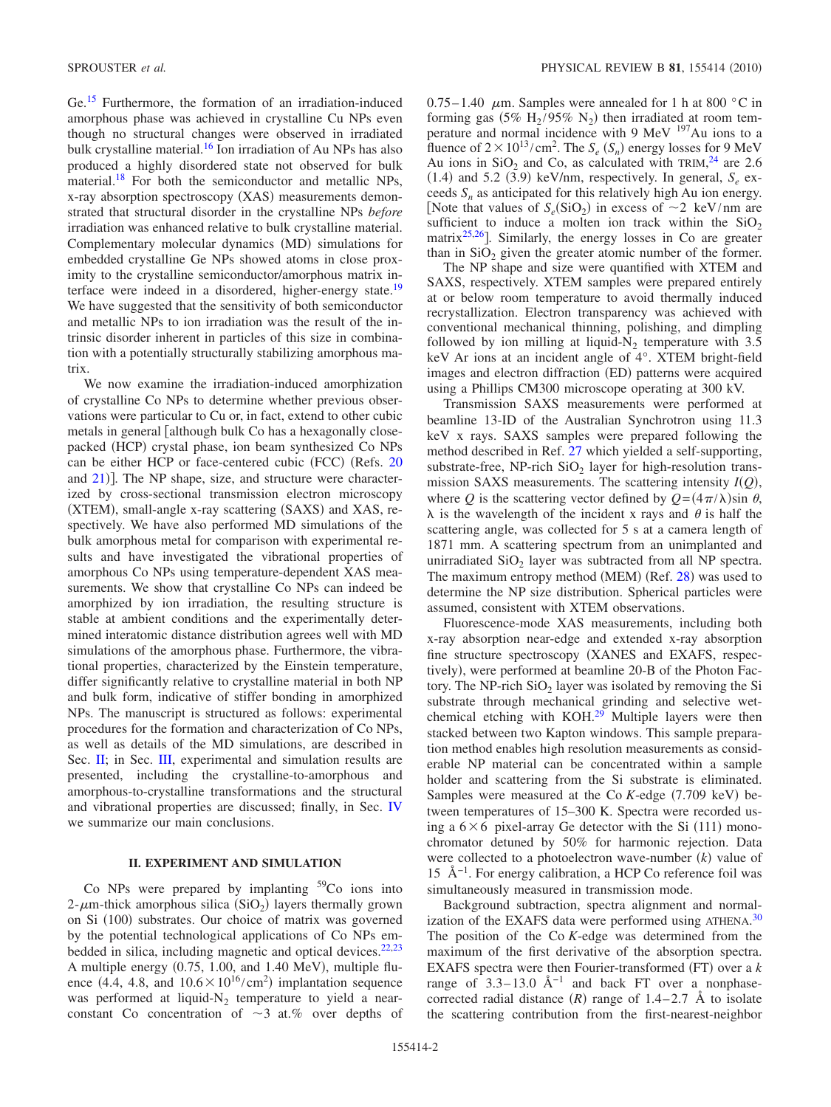Ge[.15](#page-7-12) Furthermore, the formation of an irradiation-induced amorphous phase was achieved in crystalline Cu NPs even though no structural changes were observed in irradiated bulk crystalline material.<sup>16</sup> Ion irradiation of Au NPs has also produced a highly disordered state not observed for bulk material[.18](#page-7-15) For both the semiconductor and metallic NPs, x-ray absorption spectroscopy (XAS) measurements demonstrated that structural disorder in the crystalline NPs *before* irradiation was enhanced relative to bulk crystalline material. Complementary molecular dynamics (MD) simulations for embedded crystalline Ge NPs showed atoms in close proximity to the crystalline semiconductor/amorphous matrix interface were indeed in a disordered, higher-energy state.<sup>19</sup> We have suggested that the sensitivity of both semiconductor and metallic NPs to ion irradiation was the result of the intrinsic disorder inherent in particles of this size in combination with a potentially structurally stabilizing amorphous matrix.

We now examine the irradiation-induced amorphization of crystalline Co NPs to determine whether previous observations were particular to Cu or, in fact, extend to other cubic metals in general [although bulk Co has a hexagonally closepacked (HCP) crystal phase, ion beam synthesized Co NPs can be either HCP or face-centered cubic (FCC) (Refs. [20](#page-7-17) and [21](#page-7-18))]. The NP shape, size, and structure were characterized by cross-sectional transmission electron microscopy (XTEM), small-angle x-ray scattering (SAXS) and XAS, respectively. We have also performed MD simulations of the bulk amorphous metal for comparison with experimental results and have investigated the vibrational properties of amorphous Co NPs using temperature-dependent XAS measurements. We show that crystalline Co NPs can indeed be amorphized by ion irradiation, the resulting structure is stable at ambient conditions and the experimentally determined interatomic distance distribution agrees well with MD simulations of the amorphous phase. Furthermore, the vibrational properties, characterized by the Einstein temperature, differ significantly relative to crystalline material in both NP and bulk form, indicative of stiffer bonding in amorphized NPs. The manuscript is structured as follows: experimental procedures for the formation and characterization of Co NPs, as well as details of the MD simulations, are described in Sec. [II;](#page-1-0) in Sec. [III,](#page-2-0) experimental and simulation results are presented, including the crystalline-to-amorphous and amorphous-to-crystalline transformations and the structural and vibrational properties are discussed; finally, in Sec. [IV](#page-6-0) we summarize our main conclusions.

## **II. EXPERIMENT AND SIMULATION**

<span id="page-1-0"></span>Co NPs were prepared by implanting  $59^{\circ}$ Co ions into  $2$ - $\mu$ m-thick amorphous silica (SiO<sub>2</sub>) layers thermally grown on Si (100) substrates. Our choice of matrix was governed by the potential technological applications of Co NPs embedded in silica, including magnetic and optical devices. $22,23$  $22,23$ A multiple energy  $(0.75, 1.00,$  and  $1.40$  MeV), multiple fluence (4.4, 4.8, and  $10.6 \times 10^{16} / \text{cm}^2$ ) implantation sequence was performed at liquid- $N_2$  temperature to yield a nearconstant Co concentration of  $\sim$ 3 at.% over depths of

 $0.75-1.40$   $\mu$ m. Samples were annealed for 1 h at 800 °C in forming gas (5%  $\rm H_2/95\%$  N<sub>2</sub>) then irradiated at room temperature and normal incidence with 9 MeV <sup>197</sup>Au ions to a fluence of  $2 \times 10^{13} / \text{cm}^2$ . The  $S_e$  ( $S_n$ ) energy losses for 9 MeV Au ions in  $SiO_2$  and Co, as calculated with TRIM,<sup>[24](#page-7-21)</sup> are 2.6  $(1.4)$  and 5.2  $(3.9)$  keV/nm, respectively. In general,  $S_e$  exceeds  $S_n$  as anticipated for this relatively high Au ion energy. [Note that values of  $S_e(SiO_2)$  in excess of  $\sim$ 2 keV/nm are sufficient to induce a molten ion track within the  $SiO<sub>2</sub>$ matrix $25,26$  $25,26$ . Similarly, the energy losses in Co are greater than in  $SiO<sub>2</sub>$  given the greater atomic number of the former.

The NP shape and size were quantified with XTEM and SAXS, respectively. XTEM samples were prepared entirely at or below room temperature to avoid thermally induced recrystallization. Electron transparency was achieved with conventional mechanical thinning, polishing, and dimpling followed by ion milling at liquid- $N_2$  temperature with 3.5 keV Ar ions at an incident angle of 4°. XTEM bright-field images and electron diffraction (ED) patterns were acquired using a Phillips CM300 microscope operating at 300 kV.

Transmission SAXS measurements were performed at beamline 13-ID of the Australian Synchrotron using 11.3 keV x rays. SAXS samples were prepared following the method described in Ref. [27](#page-7-24) which yielded a self-supporting, substrate-free, NP-rich  $SiO<sub>2</sub>$  layer for high-resolution transmission SAXS measurements. The scattering intensity  $I(Q)$ , where *Q* is the scattering vector defined by  $Q = (4\pi/\lambda)\sin \theta$ ,  $\lambda$  is the wavelength of the incident x rays and  $\theta$  is half the scattering angle, was collected for 5 s at a camera length of 1871 mm. A scattering spectrum from an unimplanted and unirradiated  $SiO<sub>2</sub>$  layer was subtracted from all NP spectra. The maximum entropy method (MEM) (Ref. [28](#page-7-25)) was used to determine the NP size distribution. Spherical particles were assumed, consistent with XTEM observations.

Fluorescence-mode XAS measurements, including both x-ray absorption near-edge and extended x-ray absorption fine structure spectroscopy XANES and EXAFS, respectively), were performed at beamline 20-B of the Photon Factory. The NP-rich  $SiO<sub>2</sub>$  layer was isolated by removing the Si substrate through mechanical grinding and selective wetchemical etching with KOH.<sup>29</sup> Multiple layers were then stacked between two Kapton windows. This sample preparation method enables high resolution measurements as considerable NP material can be concentrated within a sample holder and scattering from the Si substrate is eliminated. Samples were measured at the Co *K*-edge (7.709 keV) between temperatures of 15–300 K. Spectra were recorded using a  $6 \times 6$  pixel-array Ge detector with the Si (111) monochromator detuned by 50% for harmonic rejection. Data were collected to a photoelectron wave-number  $(k)$  value of 15 Å−1. For energy calibration, a HCP Co reference foil was simultaneously measured in transmission mode.

Background subtraction, spectra alignment and normal-ization of the EXAFS data were performed using ATHENA.<sup>[30](#page-7-27)</sup> The position of the Co *K*-edge was determined from the maximum of the first derivative of the absorption spectra. EXAFS spectra were then Fourier-transformed (FT) over a *k* range of  $3.3-13.0$  Å<sup>-1</sup> and back FT over a nonphasecorrected radial distance  $(R)$  range of 1.4–2.7 Å to isolate the scattering contribution from the first-nearest-neighbor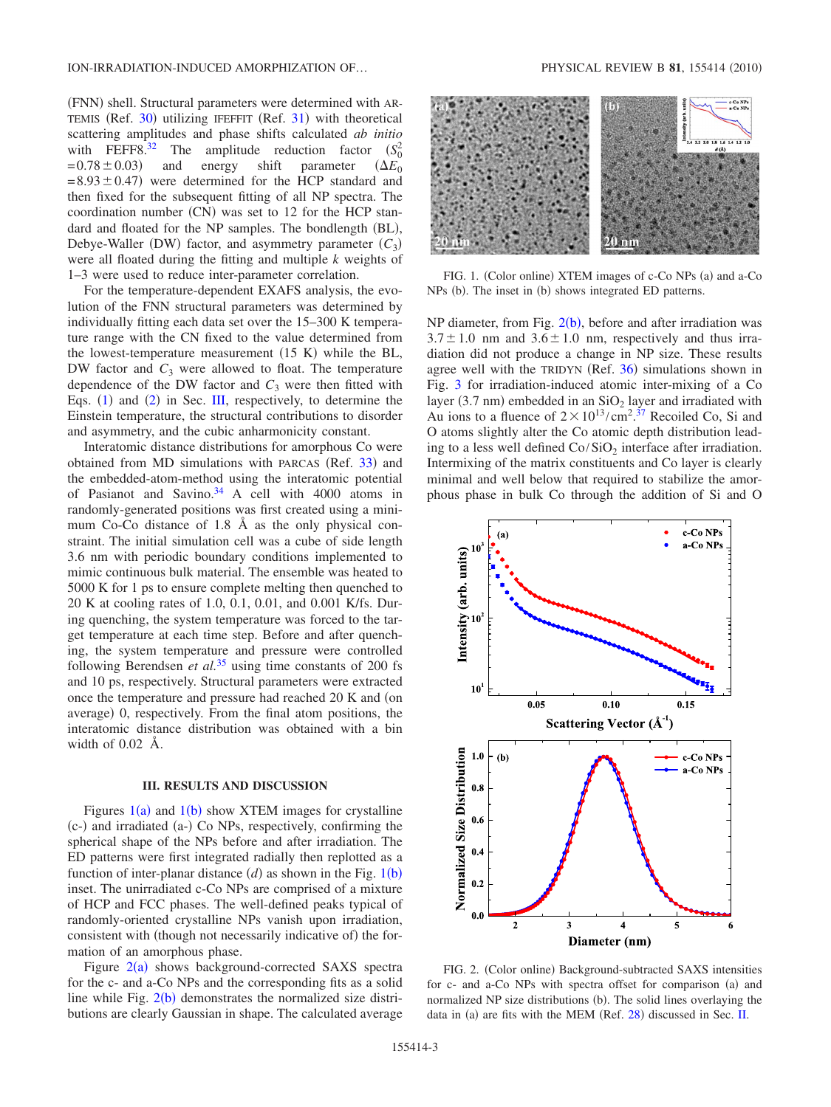(FNN) shell. Structural parameters were determined with AR-TEMIS (Ref. [30](#page-7-27)) utilizing IFEFFIT (Ref. [31](#page-7-28)) with theoretical scattering amplitudes and phase shifts calculated *ab initio* with FEFF8.<sup>32</sup> The amplitude reduction factor  $(S_0^2 = 0.78 \pm 0.03)$  and energy shift parameter  $(\Delta E_0)$  $(S_0^2)$  $= 0.78 \pm 0.03$ parameter  $= 8.93 \pm 0.47$  were determined for the HCP standard and then fixed for the subsequent fitting of all NP spectra. The coordination number  $(CN)$  was set to 12 for the HCP standard and floated for the NP samples. The bondlength (BL), Debye-Waller (DW) factor, and asymmetry parameter  $(C_3)$ were all floated during the fitting and multiple *k* weights of 1–3 were used to reduce inter-parameter correlation.

For the temperature-dependent EXAFS analysis, the evolution of the FNN structural parameters was determined by individually fitting each data set over the 15–300 K temperature range with the CN fixed to the value determined from the lowest-temperature measurement  $(15 K)$  while the BL, DW factor and  $C_3$  were allowed to float. The temperature dependence of the DW factor and  $C_3$  were then fitted with Eqs.  $(1)$  $(1)$  $(1)$  and  $(2)$  $(2)$  $(2)$  in Sec. [III,](#page-2-0) respectively, to determine the Einstein temperature, the structural contributions to disorder and asymmetry, and the cubic anharmonicity constant.

Interatomic distance distributions for amorphous Co were obtained from MD simulations with PARCAS (Ref. [33](#page-7-30)) and the embedded-atom-method using the interatomic potential of Pasianot and Savino. $34$  A cell with 4000 atoms in randomly-generated positions was first created using a minimum Co-Co distance of 1.8 Å as the only physical constraint. The initial simulation cell was a cube of side length 3.6 nm with periodic boundary conditions implemented to mimic continuous bulk material. The ensemble was heated to 5000 K for 1 ps to ensure complete melting then quenched to 20 K at cooling rates of 1.0, 0.1, 0.01, and 0.001 K/fs. During quenching, the system temperature was forced to the target temperature at each time step. Before and after quenching, the system temperature and pressure were controlled following Berendsen *et al.*[35](#page-7-32) using time constants of 200 fs and 10 ps, respectively. Structural parameters were extracted once the temperature and pressure had reached 20 K and (on average) 0, respectively. From the final atom positions, the interatomic distance distribution was obtained with a bin width of 0.02 Å.

### **III. RESULTS AND DISCUSSION**

<span id="page-2-0"></span>Figures  $1(a)$  $1(a)$  and  $1(b)$  show XTEM images for crystalline (c-) and irradiated (a-) Co NPs, respectively, confirming the spherical shape of the NPs before and after irradiation. The ED patterns were first integrated radially then replotted as a function of inter-planar distance  $(d)$  as shown in the Fig. [1](#page-2-1)(b) inset. The unirradiated c-Co NPs are comprised of a mixture of HCP and FCC phases. The well-defined peaks typical of randomly-oriented crystalline NPs vanish upon irradiation, consistent with (though not necessarily indicative of) the formation of an amorphous phase.

Figure  $2(a)$  $2(a)$  shows background-corrected SAXS spectra for the c- and a-Co NPs and the corresponding fits as a solid line while Fig.  $2(b)$  $2(b)$  demonstrates the normalized size distributions are clearly Gaussian in shape. The calculated average

<span id="page-2-1"></span>

FIG. 1. (Color online) XTEM images of c-Co NPs (a) and a-Co  $NPs$  (b). The inset in (b) shows integrated ED patterns.

NP diameter, from Fig.  $2(b)$  $2(b)$ , before and after irradiation was  $3.7 \pm 1.0$  nm and  $3.6 \pm 1.0$  nm, respectively and thus irradiation did not produce a change in NP size. These results agree well with the TRIDYN (Ref. [36](#page-7-33)) simulations shown in Fig. [3](#page-3-0) for irradiation-induced atomic inter-mixing of a Co layer (3.7 nm) embedded in an  $SiO<sub>2</sub>$  layer and irradiated with Au ions to a fluence of  $2 \times 10^{13} / \text{cm}^2$ .<sup>[37](#page-7-34)</sup> Recoiled Co, Si and O atoms slightly alter the Co atomic depth distribution leading to a less well defined  $Co/SiO<sub>2</sub>$  interface after irradiation. Intermixing of the matrix constituents and Co layer is clearly minimal and well below that required to stabilize the amorphous phase in bulk Co through the addition of Si and O

<span id="page-2-2"></span>

FIG. 2. (Color online) Background-subtracted SAXS intensities for c- and a-Co NPs with spectra offset for comparison (a) and normalized NP size distributions (b). The solid lines overlaying the data in (a) are fits with the MEM (Ref. [28](#page-7-25)) discussed in Sec. [II.](#page-1-0)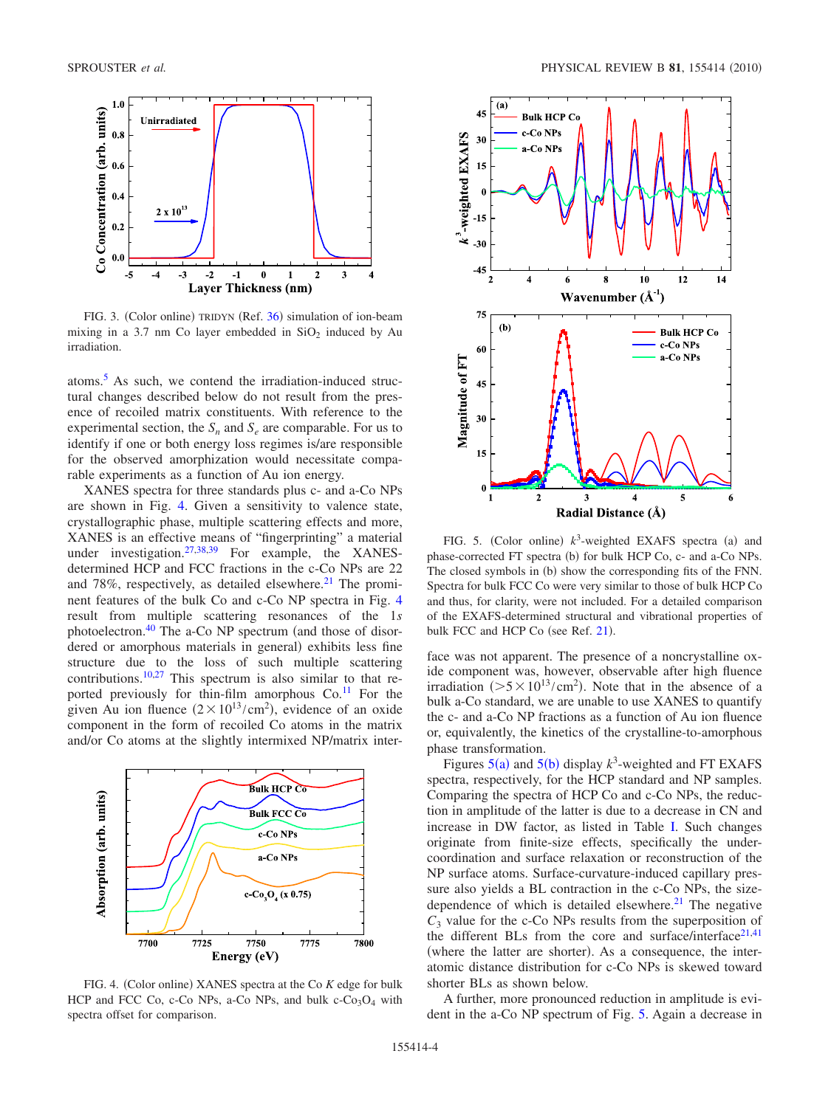<span id="page-3-0"></span>

FIG. 3. (Color online) TRIDYN (Ref. [36](#page-7-33)) simulation of ion-beam mixing in a 3.7 nm Co layer embedded in  $SiO<sub>2</sub>$  induced by Au irradiation.

atoms[.5](#page-7-4) As such, we contend the irradiation-induced structural changes described below do not result from the presence of recoiled matrix constituents. With reference to the experimental section, the  $S_n$  and  $S_e$  are comparable. For us to identify if one or both energy loss regimes is/are responsible for the observed amorphization would necessitate comparable experiments as a function of Au ion energy.

XANES spectra for three standards plus c- and a-Co NPs are shown in Fig. [4.](#page-3-1) Given a sensitivity to valence state, crystallographic phase, multiple scattering effects and more, XANES is an effective means of "fingerprinting" a material under investigation.<sup>27[,38,](#page-7-35)[39](#page-7-36)</sup> For example, the XANESdetermined HCP and FCC fractions in the c-Co NPs are 22 and 78%, respectively, as detailed elsewhere. $21$  The prominent features of the bulk Co and c-Co NP spectra in Fig. [4](#page-3-1) result from multiple scattering resonances of the 1*s* photoelectron. $40$  The a-Co NP spectrum (and those of disordered or amorphous materials in general) exhibits less fine structure due to the loss of such multiple scattering contributions[.10](#page-7-7)[,27](#page-7-24) This spectrum is also similar to that reported previously for thin-film amorphous  $Co<sup>11</sup>$  For the given Au ion fluence  $(2 \times 10^{13} / \text{cm}^2)$ , evidence of an oxide component in the form of recoiled Co atoms in the matrix and/or Co atoms at the slightly intermixed NP/matrix inter-

<span id="page-3-1"></span>

FIG. 4. (Color online) XANES spectra at the Co K edge for bulk HCP and FCC Co, c-Co NPs, a-Co NPs, and bulk  $c$ -Co<sub>3</sub>O<sub>4</sub> with spectra offset for comparison.

<span id="page-3-2"></span>

FIG. 5. (Color online)  $k^3$ -weighted EXAFS spectra (a) and phase-corrected FT spectra (b) for bulk HCP Co, c- and a-Co NPs. The closed symbols in (b) show the corresponding fits of the FNN. Spectra for bulk FCC Co were very similar to those of bulk HCP Co and thus, for clarity, were not included. For a detailed comparison of the EXAFS-determined structural and vibrational properties of bulk FCC and HCP Co (see Ref. [21](#page-7-18)).

face was not apparent. The presence of a noncrystalline oxide component was, however, observable after high fluence irradiation ( $>5 \times 10^{13} / \text{cm}^2$ ). Note that in the absence of a bulk a-Co standard, we are unable to use XANES to quantify the c- and a-Co NP fractions as a function of Au ion fluence or, equivalently, the kinetics of the crystalline-to-amorphous phase transformation.

Figures  $5(a)$  $5(a)$  and  $5(b)$  display  $k^3$ -weighted and FT EXAFS spectra, respectively, for the HCP standard and NP samples. Comparing the spectra of HCP Co and c-Co NPs, the reduction in amplitude of the latter is due to a decrease in CN and increase in DW factor, as listed in Table [I.](#page-4-0) Such changes originate from finite-size effects, specifically the undercoordination and surface relaxation or reconstruction of the NP surface atoms. Surface-curvature-induced capillary pressure also yields a BL contraction in the c-Co NPs, the sizedependence of which is detailed elsewhere. $21$  The negative  $C_3$  value for the c-Co NPs results from the superposition of the different BLs from the core and surface/interface $21,41$  $21,41$ (where the latter are shorter). As a consequence, the interatomic distance distribution for c-Co NPs is skewed toward shorter BLs as shown below.

A further, more pronounced reduction in amplitude is evident in the a-Co NP spectrum of Fig. [5.](#page-3-2) Again a decrease in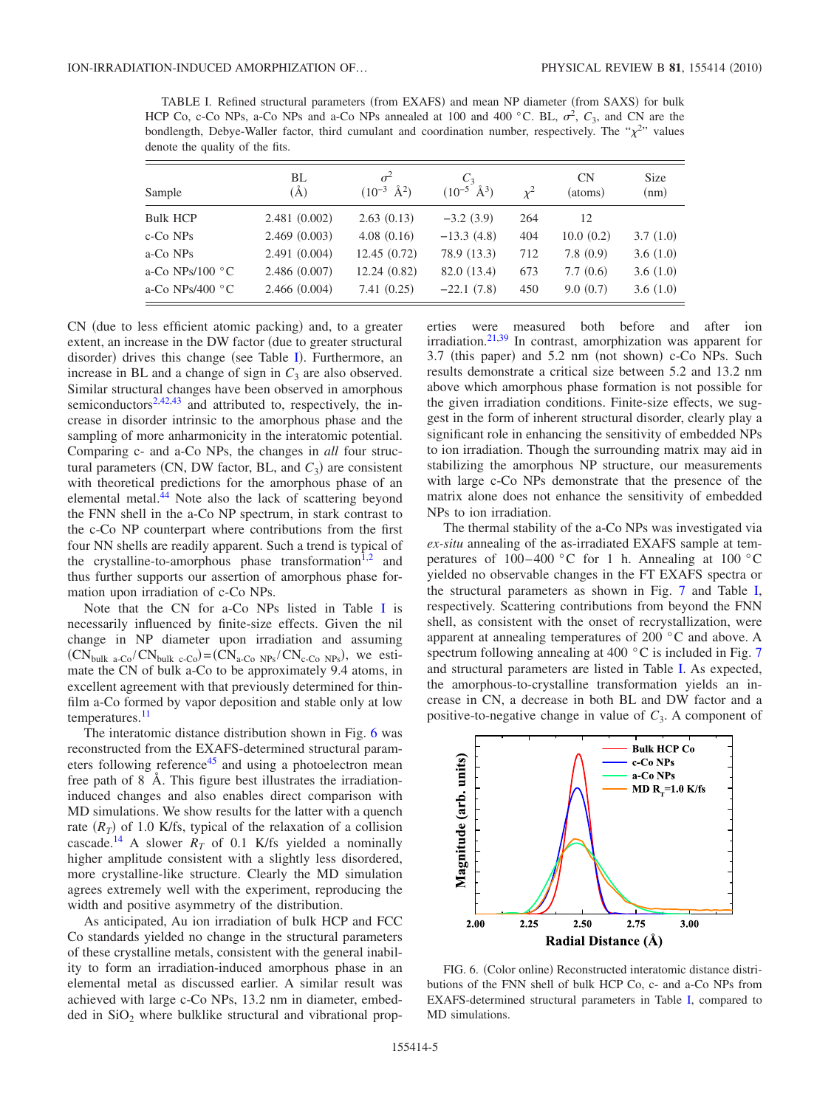<span id="page-4-0"></span>TABLE I. Refined structural parameters (from EXAFS) and mean NP diameter (from SAXS) for bulk HCP Co, c-Co NPs, a-Co NPs and a-Co NPs annealed at 100 and 400 °C. BL,  $\sigma^2$ ,  $C_3$ , and CN are the bondlength, Debye-Waller factor, third cumulant and coordination number, respectively. The " $\chi^{2}$ " values denote the quality of the fits.

| Sample                    | BL<br>$\rm(\AA)$ | $\sigma^2$<br>$(10^{-3} \text{ Å}^2)$ | $C_3$<br>$(10^{-5} \text{ Å}^3)$ | $x^2$ | CN<br>(atoms) | <b>Size</b><br>(nm) |
|---------------------------|------------------|---------------------------------------|----------------------------------|-------|---------------|---------------------|
| <b>Bulk HCP</b>           | 2.481(0.002)     | 2.63(0.13)                            | $-3.2(3.9)$                      | 264   | 12            |                     |
| c-Co NPs                  | 2.469(0.003)     | 4.08(0.16)                            | $-13.3(4.8)$                     | 404   | 10.0(0.2)     | 3.7(1.0)            |
| a-Co NPs                  | 2.491(0.004)     | 12.45(0.72)                           | 78.9 (13.3)                      | 712   | 7.8(0.9)      | 3.6(1.0)            |
| a-Co NPs/100 $\degree$ C  | 2.486(0.007)     | 12.24(0.82)                           | 82.0 (13.4)                      | 673   | 7.7(0.6)      | 3.6(1.0)            |
| a-Co NPs/400 $^{\circ}$ C | 2.466(0.004)     | 7.41(0.25)                            | $-22.1(7.8)$                     | 450   | 9.0(0.7)      | 3.6(1.0)            |

CN (due to less efficient atomic packing) and, to a greater extent, an increase in the DW factor (due to greater structural disorder) drives this change (see Table [I](#page-4-0)). Furthermore, an increase in BL and a change of sign in  $C_3$  are also observed. Similar structural changes have been observed in amorphous semiconductors<sup>2,[42](#page-7-39)[,43](#page-7-40)</sup> and attributed to, respectively, the increase in disorder intrinsic to the amorphous phase and the sampling of more anharmonicity in the interatomic potential. Comparing c- and a-Co NPs, the changes in *all* four structural parameters (CN, DW factor, BL, and  $C_3$ ) are consistent with theoretical predictions for the amorphous phase of an elemental metal[.44](#page-7-41) Note also the lack of scattering beyond the FNN shell in the a-Co NP spectrum, in stark contrast to the c-Co NP counterpart where contributions from the first four NN shells are readily apparent. Such a trend is typical of the crystalline-to-amorphous phase transformation<sup>1[,2](#page-7-1)</sup> and thus further supports our assertion of amorphous phase formation upon irradiation of c-Co NPs.

Note that the CN for a-Co NPs listed in Table [I](#page-4-0) is necessarily influenced by finite-size effects. Given the nil change in NP diameter upon irradiation and assuming  $(CN_{bulk \text{a-Co}}/CN_{bulk \text{c-Co}}) = (CN_{a-Co \text{NPs}}/CN_{c-Co \text{NPs}})$ , we estimate the CN of bulk a-Co to be approximately 9.4 atoms, in excellent agreement with that previously determined for thinfilm a-Co formed by vapor deposition and stable only at low temperatures.<sup>11</sup>

The interatomic distance distribution shown in Fig. [6](#page-4-1) was reconstructed from the EXAFS-determined structural parameters following reference<sup>45</sup> and using a photoelectron mean free path of 8 Å. This figure best illustrates the irradiationinduced changes and also enables direct comparison with MD simulations. We show results for the latter with a quench rate  $(R_T)$  of 1.0 K/fs, typical of the relaxation of a collision cascade.<sup>14</sup> A slower  $R_T$  of 0.1 K/fs yielded a nominally higher amplitude consistent with a slightly less disordered, more crystalline-like structure. Clearly the MD simulation agrees extremely well with the experiment, reproducing the width and positive asymmetry of the distribution.

As anticipated, Au ion irradiation of bulk HCP and FCC Co standards yielded no change in the structural parameters of these crystalline metals, consistent with the general inability to form an irradiation-induced amorphous phase in an elemental metal as discussed earlier. A similar result was achieved with large c-Co NPs, 13.2 nm in diameter, embedded in  $SiO<sub>2</sub>$  where bulklike structural and vibrational properties were measured both before and after ion irradiation.<sup>21,[39](#page-7-36)</sup> In contrast, amorphization was apparent for 3.7 (this paper) and 5.2 nm (not shown) c-Co NPs. Such results demonstrate a critical size between 5.2 and 13.2 nm above which amorphous phase formation is not possible for the given irradiation conditions. Finite-size effects, we suggest in the form of inherent structural disorder, clearly play a significant role in enhancing the sensitivity of embedded NPs to ion irradiation. Though the surrounding matrix may aid in stabilizing the amorphous NP structure, our measurements with large c-Co NPs demonstrate that the presence of the matrix alone does not enhance the sensitivity of embedded NPs to ion irradiation.

The thermal stability of the a-Co NPs was investigated via *ex-situ* annealing of the as-irradiated EXAFS sample at temperatures of  $100-400$  °C for 1 h. Annealing at  $100$  °C yielded no observable changes in the FT EXAFS spectra or the structural parameters as shown in Fig. [7](#page-5-1) and Table [I,](#page-4-0) respectively. Scattering contributions from beyond the FNN shell, as consistent with the onset of recrystallization, were apparent at annealing temperatures of 200 °C and above. A spectrum following annealing at 400 $\degree$ C is included in Fig. [7](#page-5-1) and structural parameters are listed in Table [I.](#page-4-0) As expected, the amorphous-to-crystalline transformation yields an increase in CN, a decrease in both BL and DW factor and a positive-to-negative change in value of  $C_3$ . A component of

<span id="page-4-1"></span>

FIG. 6. (Color online) Reconstructed interatomic distance distributions of the FNN shell of bulk HCP Co, c- and a-Co NPs from EXAFS-determined structural parameters in Table [I,](#page-4-0) compared to MD simulations.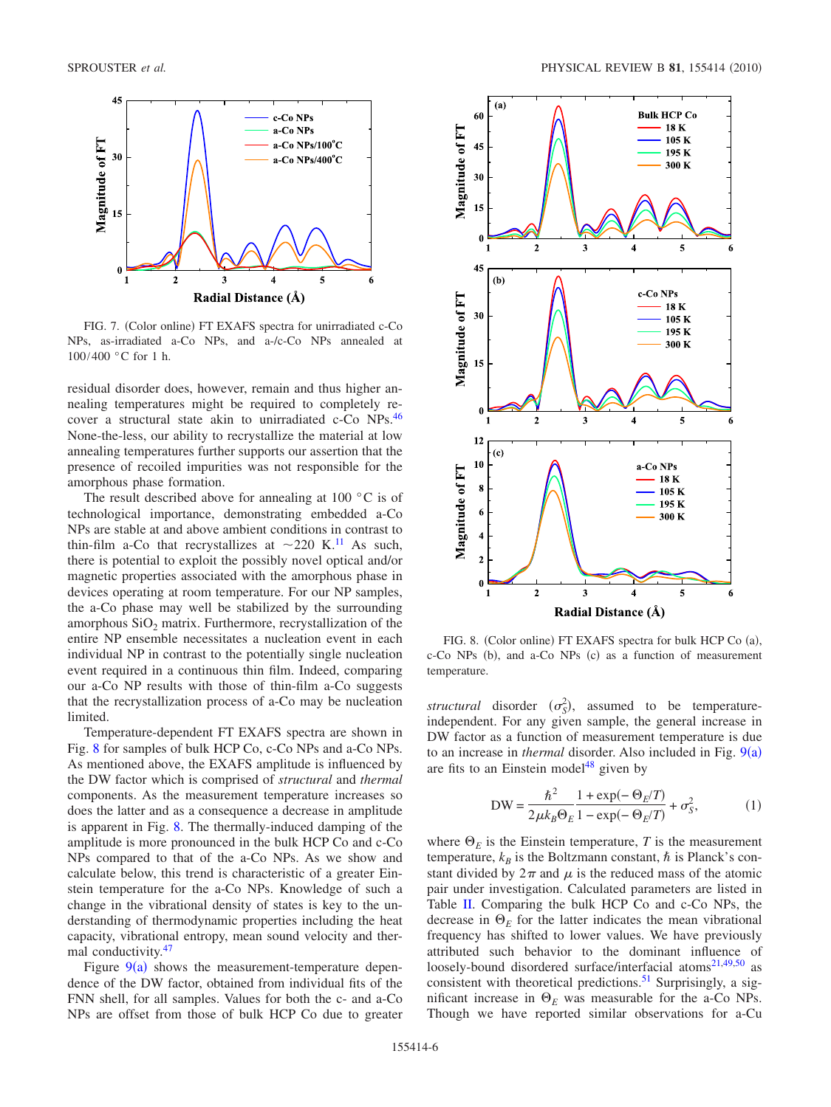<span id="page-5-1"></span>

FIG. 7. (Color online) FT EXAFS spectra for unirradiated c-Co NPs, as-irradiated a-Co NPs, and a-/c-Co NPs annealed at 100/400 °C for 1 h.

residual disorder does, however, remain and thus higher annealing temperatures might be required to completely recover a structural state akin to unirradiated c-Co NPs[.46](#page-7-43) None-the-less, our ability to recrystallize the material at low annealing temperatures further supports our assertion that the presence of recoiled impurities was not responsible for the amorphous phase formation.

The result described above for annealing at 100  $\degree$ C is of technological importance, demonstrating embedded a-Co NPs are stable at and above ambient conditions in contrast to thin-film a-Co that recrystallizes at  $\sim$ 220 K.<sup>11</sup> As such, there is potential to exploit the possibly novel optical and/or magnetic properties associated with the amorphous phase in devices operating at room temperature. For our NP samples, the a-Co phase may well be stabilized by the surrounding amorphous  $SiO<sub>2</sub>$  matrix. Furthermore, recrystallization of the entire NP ensemble necessitates a nucleation event in each individual NP in contrast to the potentially single nucleation event required in a continuous thin film. Indeed, comparing our a-Co NP results with those of thin-film a-Co suggests that the recrystallization process of a-Co may be nucleation limited.

Temperature-dependent FT EXAFS spectra are shown in Fig. [8](#page-5-2) for samples of bulk HCP Co, c-Co NPs and a-Co NPs. As mentioned above, the EXAFS amplitude is influenced by the DW factor which is comprised of *structural* and *thermal* components. As the measurement temperature increases so does the latter and as a consequence a decrease in amplitude is apparent in Fig. [8.](#page-5-2) The thermally-induced damping of the amplitude is more pronounced in the bulk HCP Co and c-Co NPs compared to that of the a-Co NPs. As we show and calculate below, this trend is characteristic of a greater Einstein temperature for the a-Co NPs. Knowledge of such a change in the vibrational density of states is key to the understanding of thermodynamic properties including the heat capacity, vibrational entropy, mean sound velocity and thermal conductivity.<sup>47</sup>

Figure  $9(a)$  $9(a)$  shows the measurement-temperature dependence of the DW factor, obtained from individual fits of the FNN shell, for all samples. Values for both the c- and a-Co NPs are offset from those of bulk HCP Co due to greater

<span id="page-5-2"></span>

FIG. 8. (Color online) FT EXAFS spectra for bulk HCP Co (a), c-Co NPs (b), and a-Co NPs (c) as a function of measurement temperature.

*structural* disorder  $(\sigma_S^2)$ , assumed to be temperatureindependent. For any given sample, the general increase in DW factor as a function of measurement temperature is due to an increase in *thermal* disorder. Also included in Fig. [9](#page-6-2)(a) are fits to an Einstein model $48$  given by

$$
DW = \frac{\hbar^2}{2\mu k_B \Theta_E} \frac{1 + \exp(-\Theta_E/T)}{1 - \exp(-\Theta_E/T)} + \sigma_S^2,
$$
 (1)

<span id="page-5-0"></span>where  $\Theta_E$  is the Einstein temperature, *T* is the measurement temperature,  $k_B$  is the Boltzmann constant,  $\hbar$  is Planck's constant divided by  $2\pi$  and  $\mu$  is the reduced mass of the atomic pair under investigation. Calculated parameters are listed in Table [II.](#page-6-3) Comparing the bulk HCP Co and c-Co NPs, the decrease in  $\Theta_E$  for the latter indicates the mean vibrational frequency has shifted to lower values. We have previously attributed such behavior to the dominant influence of loosely-bound disordered surface/interfacial atoms<sup>21[,49,](#page-7-46)[50](#page-7-47)</sup> as consistent with theoretical predictions.<sup>51</sup> Surprisingly, a significant increase in  $\Theta_E$  was measurable for the a-Co NPs. Though we have reported similar observations for a-Cu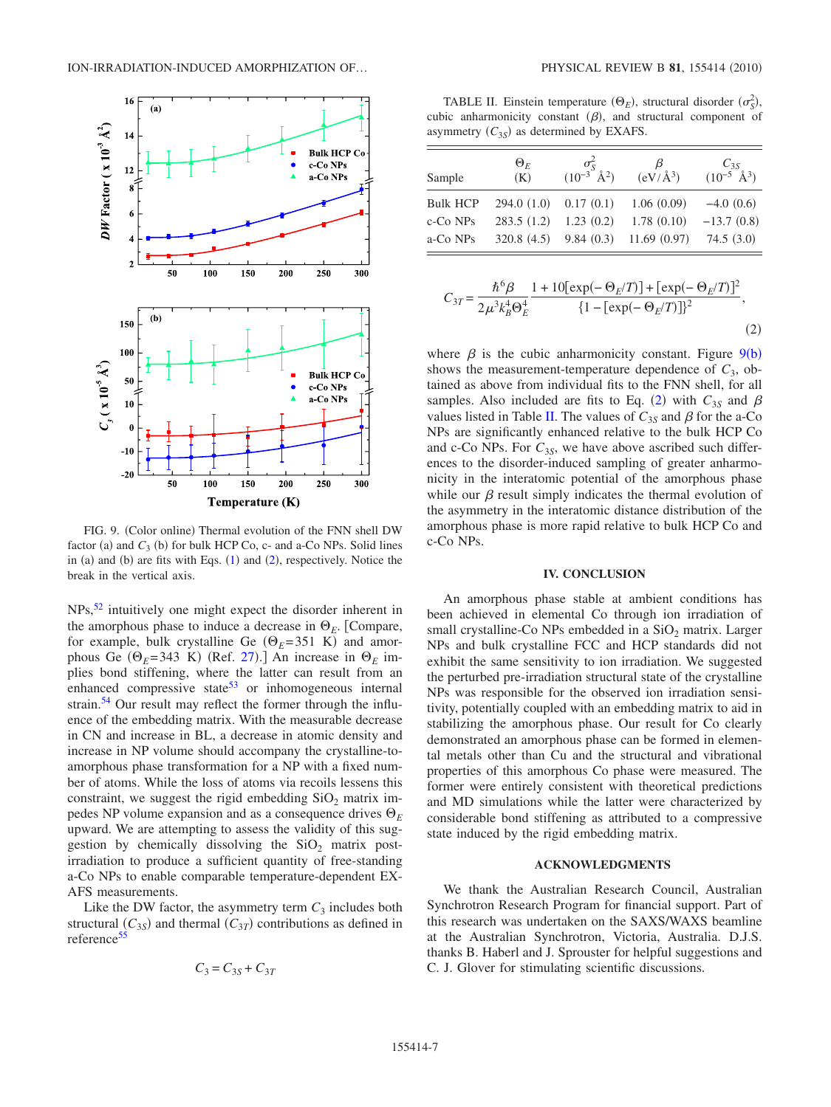<span id="page-6-2"></span>

FIG. 9. (Color online) Thermal evolution of the FNN shell DW factor (a) and  $C_3$  (b) for bulk HCP Co, c- and a-Co NPs. Solid lines in (a) and (b) are fits with Eqs.  $(1)$  $(1)$  $(1)$  and  $(2)$  $(2)$  $(2)$ , respectively. Notice the break in the vertical axis.

NPs[,52](#page-7-49) intuitively one might expect the disorder inherent in the amorphous phase to induce a decrease in  $\Theta_E$ . [Compare, for example, bulk crystalline Ge  $(\Theta_E = 351 \text{ K})$  and amorphous Ge ( $\Theta_E$ =343 K) (Ref. [27](#page-7-24)).] An increase in  $\Theta_E$  implies bond stiffening, where the latter can result from an enhanced compressive state<sup>53</sup> or inhomogeneous internal strain.<sup>54</sup> Our result may reflect the former through the influence of the embedding matrix. With the measurable decrease in CN and increase in BL, a decrease in atomic density and increase in NP volume should accompany the crystalline-toamorphous phase transformation for a NP with a fixed number of atoms. While the loss of atoms via recoils lessens this constraint, we suggest the rigid embedding  $SiO<sub>2</sub>$  matrix impedes NP volume expansion and as a consequence drives  $\Theta_E$ upward. We are attempting to assess the validity of this suggestion by chemically dissolving the  $SiO<sub>2</sub>$  matrix postirradiation to produce a sufficient quantity of free-standing a-Co NPs to enable comparable temperature-dependent EX-AFS measurements.

<span id="page-6-1"></span>Like the DW factor, the asymmetry term  $C_3$  includes both structural  $(C_{3S})$  and thermal  $(C_{3T})$  contributions as defined in reference<sup>55</sup>

$$
C_3 = C_{3S} + C_{3T}
$$

<span id="page-6-3"></span>TABLE II. Einstein temperature  $(\Theta_E)$ , structural disorder  $(\sigma_S^2)$ , cubic anharmonicity constant  $(\beta)$ , and structural component of asymmetry  $(C_{3S})$  as determined by EXAFS.

| Sample          | $\Theta_F$<br>(K)       | $\frac{\sigma_S^2}{(10^{-3} \text{ Å}^2)}$ | β<br>$\left(\frac{\text{eV}}{\text{A}^3}\right)$ | $\frac{C_{3S}}{(10^{-5} \text{ Å}^3)}$ |
|-----------------|-------------------------|--------------------------------------------|--------------------------------------------------|----------------------------------------|
| <b>Bulk HCP</b> | $294.0(1.0)$ 0.17 (0.1) |                                            | 1.06(0.09)                                       | $-4.0(0.6)$                            |
| c-Co NPs        | 283.5(1.2)              | 1.23(0.2)                                  | 1.78(0.10)                                       | $-13.7(0.8)$                           |
| a-Co NPs        | 320.8(4.5)              |                                            | $9.84(0.3)$ 11.69 (0.97)                         | 74.5(3.0)                              |

$$
C_{3T} = \frac{\hbar^6 \beta}{2\mu^3 k_B^4 \Theta_E^4} \frac{1 + 10[\exp(-\Theta_E/T)] + [\exp(-\Theta_E/T)]^2}{\{1 - [\exp(-\Theta_E/T)]\}^2},\tag{2}
$$

where  $\beta$  is the cubic anharmonicity constant. Figure [9](#page-6-2)(b) shows the measurement-temperature dependence of  $C_3$ , obtained as above from individual fits to the FNN shell, for all samples. Also included are fits to Eq. ([2](#page-6-1)) with  $C_{3S}$  and  $\beta$ values listed in Table [II.](#page-6-3) The values of  $C_{3S}$  and  $\beta$  for the a-Co NPs are significantly enhanced relative to the bulk HCP Co and c-Co NPs. For  $C_{3S}$ , we have above ascribed such differences to the disorder-induced sampling of greater anharmonicity in the interatomic potential of the amorphous phase while our  $\beta$  result simply indicates the thermal evolution of the asymmetry in the interatomic distance distribution of the amorphous phase is more rapid relative to bulk HCP Co and c-Co NPs.

#### **IV. CONCLUSION**

<span id="page-6-0"></span>An amorphous phase stable at ambient conditions has been achieved in elemental Co through ion irradiation of small crystalline-Co NPs embedded in a SiO<sub>2</sub> matrix. Larger NPs and bulk crystalline FCC and HCP standards did not exhibit the same sensitivity to ion irradiation. We suggested the perturbed pre-irradiation structural state of the crystalline NPs was responsible for the observed ion irradiation sensitivity, potentially coupled with an embedding matrix to aid in stabilizing the amorphous phase. Our result for Co clearly demonstrated an amorphous phase can be formed in elemental metals other than Cu and the structural and vibrational properties of this amorphous Co phase were measured. The former were entirely consistent with theoretical predictions and MD simulations while the latter were characterized by considerable bond stiffening as attributed to a compressive state induced by the rigid embedding matrix.

## **ACKNOWLEDGMENTS**

We thank the Australian Research Council, Australian Synchrotron Research Program for financial support. Part of this research was undertaken on the SAXS/WAXS beamline at the Australian Synchrotron, Victoria, Australia. D.J.S. thanks B. Haberl and J. Sprouster for helpful suggestions and C. J. Glover for stimulating scientific discussions.